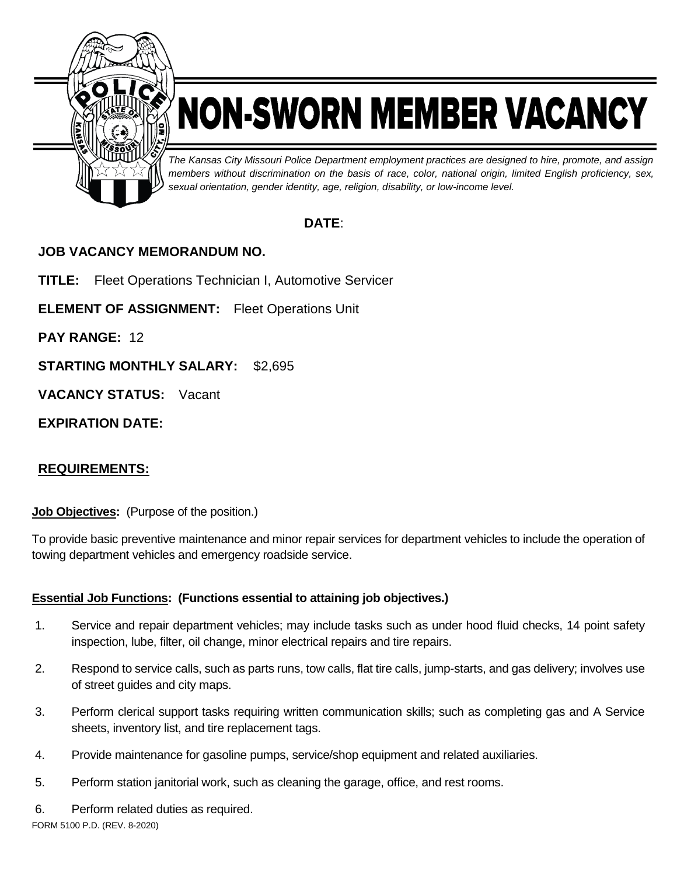

# NON-SWORN MEMBER VACANCY

*The Kansas City Missouri Police Department employment practices are designed to hire, promote, and assign members without discrimination on the basis of race, color, national origin, limited English proficiency, sex, sexual orientation, gender identity, age, religion, disability, or low-income level.*

## **DATE**:

## **JOB VACANCY MEMORANDUM NO.**

**TITLE:** Fleet Operations Technician I, Automotive Servicer

**ELEMENT OF ASSIGNMENT:** Fleet Operations Unit

**PAY RANGE:** 12

**STARTING MONTHLY SALARY:** \$2,695

**VACANCY STATUS:** Vacant

**EXPIRATION DATE:**

## **REQUIREMENTS:**

**Job Objectives:** (Purpose of the position.)

To provide basic preventive maintenance and minor repair services for department vehicles to include the operation of towing department vehicles and emergency roadside service.

## **Essential Job Functions: (Functions essential to attaining job objectives.)**

- 1. Service and repair department vehicles; may include tasks such as under hood fluid checks, 14 point safety inspection, lube, filter, oil change, minor electrical repairs and tire repairs.
- 2. Respond to service calls, such as parts runs, tow calls, flat tire calls, jump-starts, and gas delivery; involves use of street guides and city maps.
- 3. Perform clerical support tasks requiring written communication skills; such as completing gas and A Service sheets, inventory list, and tire replacement tags.
- 4. Provide maintenance for gasoline pumps, service/shop equipment and related auxiliaries.
- 5. Perform station janitorial work, such as cleaning the garage, office, and rest rooms.
- FORM 5100 P.D. (REV. 8-2020) 6. Perform related duties as required.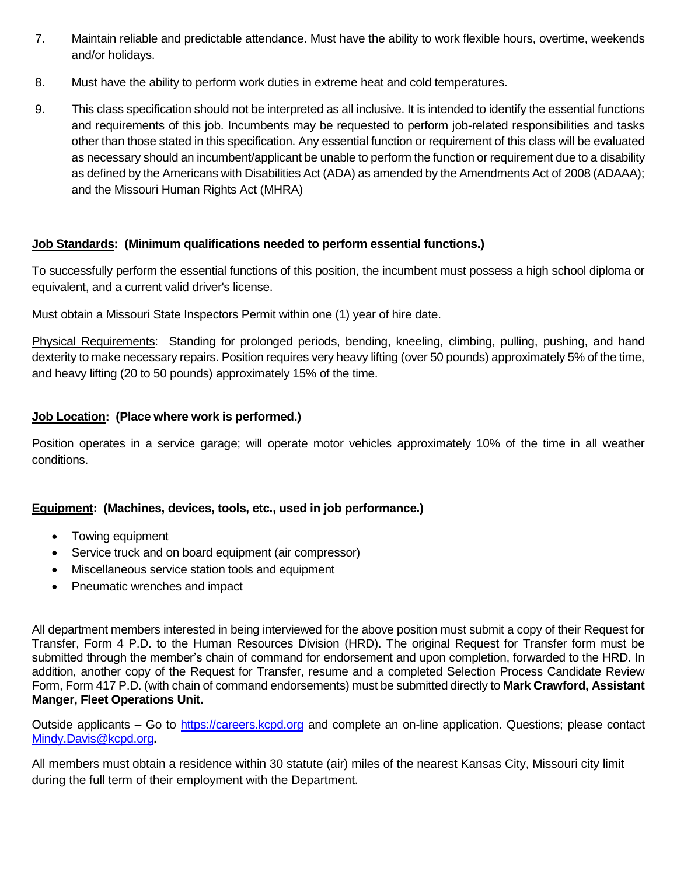- 7. Maintain reliable and predictable attendance. Must have the ability to work flexible hours, overtime, weekends and/or holidays.
- 8. Must have the ability to perform work duties in extreme heat and cold temperatures.
- 9. This class specification should not be interpreted as all inclusive. It is intended to identify the essential functions and requirements of this job. Incumbents may be requested to perform job-related responsibilities and tasks other than those stated in this specification. Any essential function or requirement of this class will be evaluated as necessary should an incumbent/applicant be unable to perform the function or requirement due to a disability as defined by the Americans with Disabilities Act (ADA) as amended by the Amendments Act of 2008 (ADAAA); and the Missouri Human Rights Act (MHRA)

### **Job Standards: (Minimum qualifications needed to perform essential functions.)**

To successfully perform the essential functions of this position, the incumbent must possess a high school diploma or equivalent, and a current valid driver's license.

Must obtain a Missouri State Inspectors Permit within one (1) year of hire date.

Physical Requirements: Standing for prolonged periods, bending, kneeling, climbing, pulling, pushing, and hand dexterity to make necessary repairs. Position requires very heavy lifting (over 50 pounds) approximately 5% of the time, and heavy lifting (20 to 50 pounds) approximately 15% of the time.

### **Job Location: (Place where work is performed.)**

Position operates in a service garage; will operate motor vehicles approximately 10% of the time in all weather conditions.

### **Equipment: (Machines, devices, tools, etc., used in job performance.)**

- Towing equipment
- Service truck and on board equipment (air compressor)
- Miscellaneous service station tools and equipment
- Pneumatic wrenches and impact

All department members interested in being interviewed for the above position must submit a copy of their Request for Transfer, Form 4 P.D. to the Human Resources Division (HRD). The original Request for Transfer form must be submitted through the member's chain of command for endorsement and upon completion, forwarded to the HRD. In addition, another copy of the Request for Transfer, resume and a completed Selection Process Candidate Review Form, Form 417 P.D. (with chain of command endorsements) must be submitted directly to **Mark Crawford, Assistant Manger, Fleet Operations Unit.**

Outside applicants – Go to [https://careers.kcpd.org](https://careers.kcpd.org/) and complete an on-line application. Questions; please contact [Mindy.Davis@kcpd.org](mailto:Mindy.Davis@kcpd.org)**.**

All members must obtain a residence within 30 statute (air) miles of the nearest Kansas City, Missouri city limit during the full term of their employment with the Department.